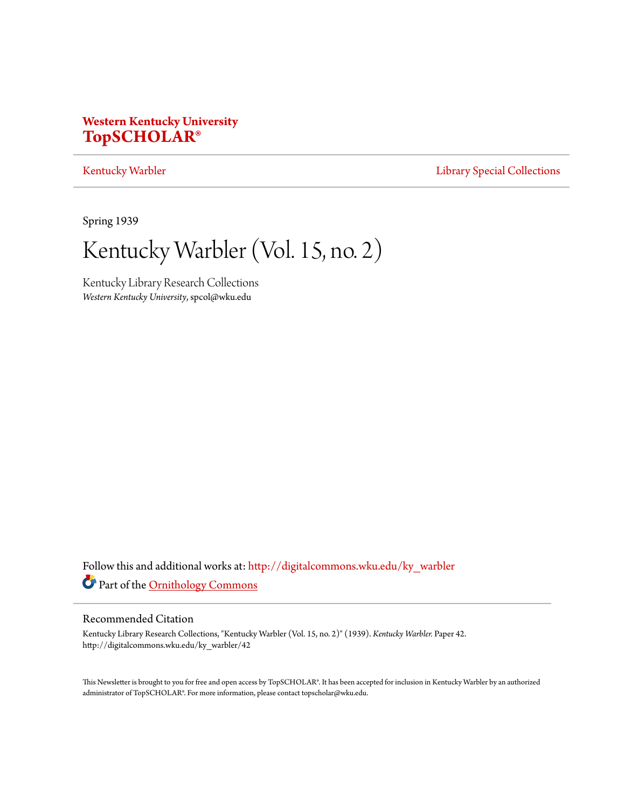# **Western Kentucky University [TopSCHOLAR®](http://digitalcommons.wku.edu?utm_source=digitalcommons.wku.edu%2Fky_warbler%2F42&utm_medium=PDF&utm_campaign=PDFCoverPages)**

## [Kentucky Warbler](http://digitalcommons.wku.edu/ky_warbler?utm_source=digitalcommons.wku.edu%2Fky_warbler%2F42&utm_medium=PDF&utm_campaign=PDFCoverPages) **[Library Special Collections](http://digitalcommons.wku.edu/dlsc?utm_source=digitalcommons.wku.edu%2Fky_warbler%2F42&utm_medium=PDF&utm_campaign=PDFCoverPages)**

Spring 1939

Kentucky Warbler (Vol. 15, no. 2)

Kentucky Library Research Collections *Western Kentucky University*, spcol@wku.edu

Follow this and additional works at: [http://digitalcommons.wku.edu/ky\\_warbler](http://digitalcommons.wku.edu/ky_warbler?utm_source=digitalcommons.wku.edu%2Fky_warbler%2F42&utm_medium=PDF&utm_campaign=PDFCoverPages) Part of the [Ornithology Commons](http://network.bepress.com/hgg/discipline/1190?utm_source=digitalcommons.wku.edu%2Fky_warbler%2F42&utm_medium=PDF&utm_campaign=PDFCoverPages)

## Recommended Citation

Kentucky Library Research Collections, "Kentucky Warbler (Vol. 15, no. 2)" (1939). *Kentucky Warbler.* Paper 42. http://digitalcommons.wku.edu/ky\_warbler/42

This Newsletter is brought to you for free and open access by TopSCHOLAR®. It has been accepted for inclusion in Kentucky Warbler by an authorized administrator of TopSCHOLAR®. For more information, please contact topscholar@wku.edu.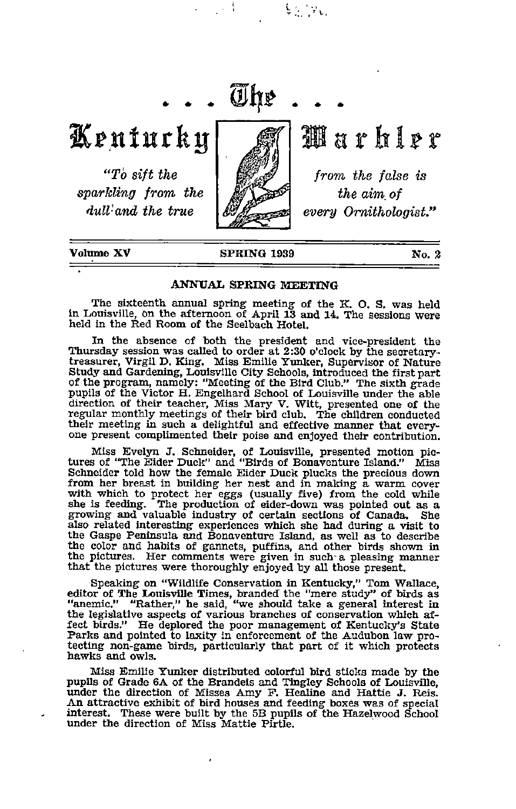Kenturky

"To sift the sparkling from the dull'and the true



The

 $\frac{1}{2}$  ,  $\frac{1}{2}$  ,  $\frac{1}{2}$ 

Marhler

from the false is the aim, of every Ornithologist."

Volume XV SPRING 1939

No. 2

### ANNUAL SPRING MEETING

The sixteenth annual spring meeting of the K. O. S. was held In Louisville, on the afternoon of April 13 and 14. The Sessions Were held in the Red Room of the Seelbach Hotel.

In the absence of both the president and vice-president the Thursday session was called to order at 2:30 o'clock by the secretary-treasurer, Virgil D. King. Miss Emilie Tunker, Supervisor of Nature Study and Gardening, Louisville City Schools, introduced the first part of the program, namely: "Meeting of the Bird Club." The sixth grade pupils of the Victor H. Engelhard School of Louisville under the able direction of their teacher, Miss Mary V. Witt, presented one of the regular monthly meetings of their bird club. The children conducted their meeting in such a delightful and effective manner that every-<br>one present compli

Miss Evelyn J. Schneider, of Louisville, presented motion pic tures of "The Eider Duck" and "Birds of Bonaventure Island." Miss Schneider told how the female Eider Duck plucks the precious down from her breast in building her nest and in making a warm cover with which to protect her eggs (usually five) from the cold while she is feeding. The production of eider-down was pointed out as <sup>a</sup> growing and valuable industry of certain sections of Canada. She growing and valuable industry of certain sections of Canada. She also related interesting experiences which she had during a visit to the Gaspe Peninsula and Bonaventure Island, as well as to describe the color and habits of gannets, puffins, and other birds shown in the pictures. Her comments were given in such-a pleasing manner that the pictures were thoroughly enjoyed by all those present.

Speaking on "Wildlife Conservation in Kentucky," Tom Wallace, editor of The Louisville Times, branded the "mere study" of birds as "anemic." "Rather," he said, "we should take a general interest in the legislative aspects of various branches of conservation which af fect birds." He deplored the poor management of Kentucky's State Parks and pointed to laxity in enforcement of the Audubon law protecting non-game birds, particularly that part of it which protects hawks and owls.

Miss Emilie Yunker distributed colorful bird sticks made by the pupils of Grade 6A of the Brandeis and Tingley Schools of Louisville, imder the direction of Misses Amy P. Healine and Hattie J. Reis. An attractive exhibit of bird houses and feeding boxes was of special interest. These were built by the 5B pupils of the Hazelwood School under the direction of Miss Mattie Pirtle.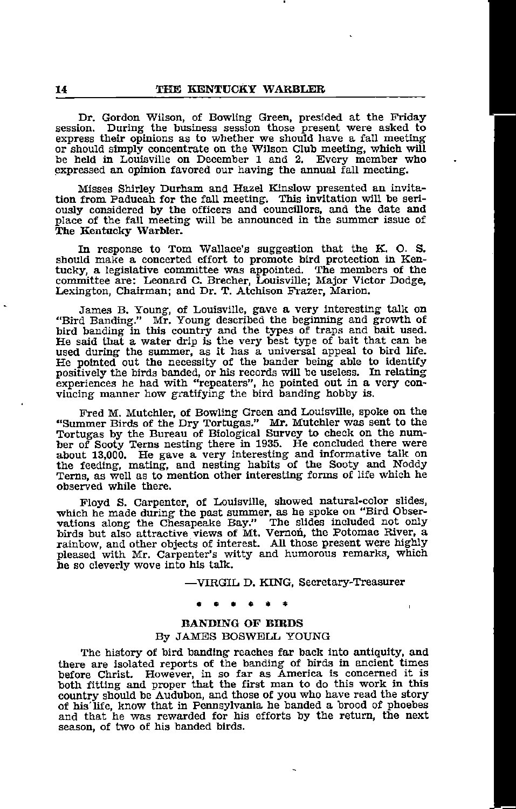Dr. Gordon. Wilson, of Bowling Green, presided at the Friday session. During the business session those present were asked to express their opinions as to whether we should have a fall meeting or should simply concentrate on the Wilson Club meeting, which will be held in Louisville on December 1 and 2. Every member who expressed an opinion favored our having the annual fall meeting.

Misses Shirley Durham and Hazel Kinslow presented an invita tion from Paducah for the fall meeting. This invitation will be seri ously considered by the officers and councillors, and the date and place of the fall meeting will be announced in the summer issue of The Kentucky Warbler.

In response to Tom Wallace's suggestion that the K. O. S. should make a concerted effort to promote bird protection in Ken tucky, a legislative committee was appointed. The members of the committee are: Leonard C. Brecher, Louisville; Major Victor Dodge, Lexington, Chairman; and Dr. T. Atchison Frazer, Marion.

James B. Young, of Louisville, gave a very interesting talk on "Bird Banding." Mr. Young described the beginning and growth of bird banding in this country and the types of traps and bait used. He said that a water drip is used during the summer, as it has a universal appeal to bird life. He pointed out the necessity of the bander being able to identify positively the birds banded, or his records will be useless. In relating experiences he had with "repeaters", he pointed out in <sup>a</sup> very con vincing manner how gratifying the bird banding hobby is.

Fred M. Mutchler, of Bowling Green and Louisville, spoke on the "Summer Birds of the Dry Tortugas." Mr. Mutchler was sent to the Tortugas by the Bureau of Biological Survey to check on the number of Sooty Terns nesting there in 1935. He concluded there were about 13,000. He gave a very interesting and informative talk on the feeding, mating, and nes Terns, as well as to mention other interesting forms of life which he observed while there.

Floyd S. Carpenter, of Louisville, showed natural-color slides, which he made during the past summer, as he spoke on "Bird Obser vations along the Chesapeake Bay." The slides included not only birds but also attractive views of Mt. Vernon, the Potomac River, a rainbow, and other objects of interest. All those present were highly pleased with Mr. Carpenter's witty and humorous remarks, which he so cleverly wove into his talk.

—VIRGIL D. KING, Secretary-Treasurer

### BANDING OF BIRDS By JAMES BOSWELL YOUNG

The history of bird banding reaches far back into antiquity, and there are isolated reports of the banding of birds in ancient times before Christ. However, in so far as America is concerned it is both fitting and proper that the first man to do this work in this country should be Audubon, and those of you who have read the story of his'life, know that in Pennsylvania he banded a brood of phoebes and that he was rewarded for his efforts by the return, the next season, of two of his banded birds.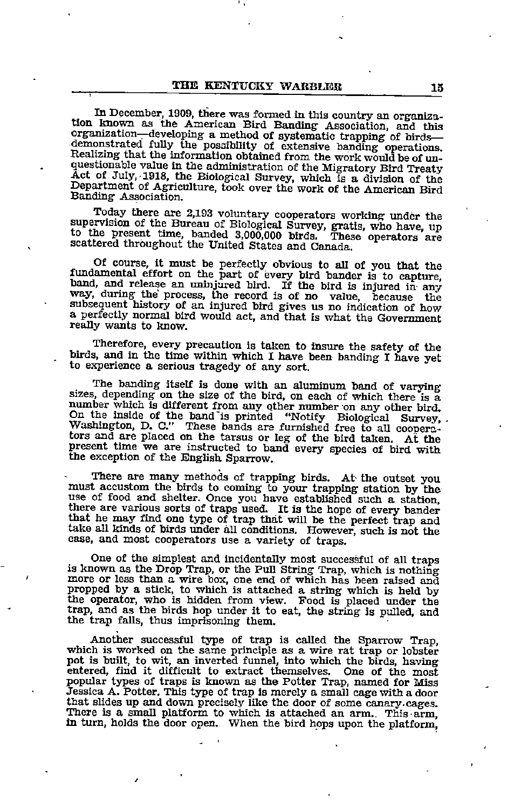In December, 1909, there was formed in this country an organization known as the American Bird Banding Association, and this organization-developing a method of systematic trapping of birdsdemonstrated fully the possibility of extensive banding operations. Realizing that the information obtained from the work would be of un questionable value in the administration of the Migratory Bird Treaty Act of July, -1918, the Biological Survey, which is a division of the Department of Agriculture, took over the work of the American Bird Banding Association.

Today there are 2,193 voluntary cooperators working under the supervision of the Bureau of Biological Survey, gratis, who have, up to the present time, banded 3,000,000 birds. These operators are scattered throughout the U

Of course, it must be perfectly obvious to all of you that the fundamental effort on the part of every bird bander is to capture, band, and release an uninjured bird. If the bird is injured in any way, during the process, the record is of no value, because the subsequent history of an injured bird gives us no indication of how a perfectly normal bird would act, and that is what the Government really wants to know.

Therefore, every precaution is taken to insure the safety of the birds, and in the time within which I have been banding I have yet to experience a serious tragedy of any sort.

The banding itself is done with an aluminum band of varying sizes, depending on the size of the bird, on each of which there is a number which is different from any other number on any other bird. On the inside of the band'is printed "Notify Biological Survey, , Washington, D. C." These bands are furnished free to all coonera- tors and are placed on the tarsus or leg of the bird taken. At the present time we are instructed to band every species of bird with the exception of the English Sparrow.

There are many methods of trapping birds. At the outset you must accustom the birds to coming to your trapping station by the use of food and shelter. Once you have established such a station, there are various sorts of traps used. It is the hope of every bander that he may find one type of trap that will be the perfect trap and take all kinds of birds under all conditions. However, such is not the case, and most cooperators use a variety of traps.

One of the simplest and incidentally most successful of all traps is known as the Drop Trap, or the Pull String Trap, which is nothing more or less than <sup>a</sup> wire box, one end of which has been raised and propped by a stick, to which is attached a string which is held by the operator, who is hidden from view. Food is placed under the trap, and as the birds hop under it to eat, the string is pulled, and the trap falls, thus imprisoning them.

Another successful type of trap is called the Sparrow Trap, which is worked on the same principle as a wire rat trap or lobster pot is built, to wit, an inverted funnel, into which the birds, having entered, find it difficult to extract themselves. popular types of traps is known as the Potter Trap, named for Miss Jessica A. Potter. This type of trap is merely a small cage with a door that slides up and down precisely like the door of some canary, cages. There is a small platform to which is attached an arm.. This-arm, in turn, holds the door open. When the bird hops upon the platform.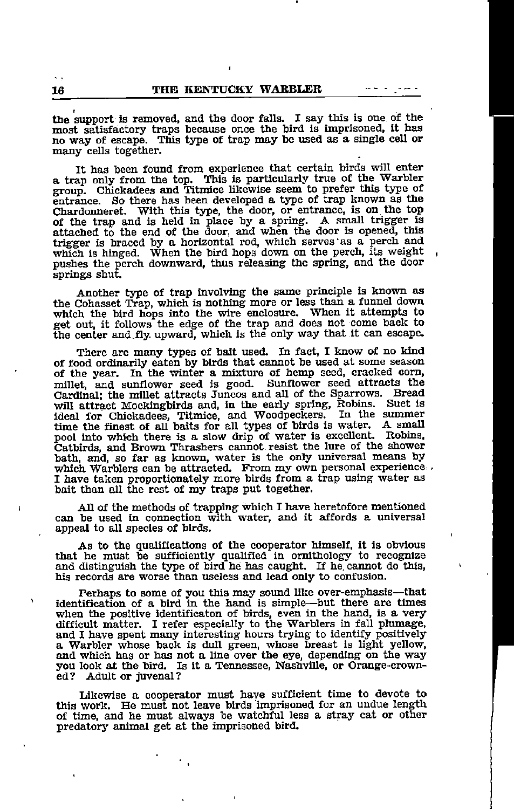the support is removed, and the door falls. I say this is one of the most satisfactory traps because once the bird is imprisoned, it has no way of escape. This type of trap may be used as <sup>a</sup> single cell or many cells together.

It has been found from experience that certain birds will enter <sup>a</sup> trap only from the top. This is particularly true of the Warbler group. Chickadees and Titmice likewise seem to prefer this type of entrance. So there has been developed a type of trap known as the Chardonneret. With this type, the door, or entrance, is on the top of the trap and is held in place by a spring. A small trigger is attached to the end of the door, and when the door is opened, this trigger is braced by a horizontal rod, which serves "as a perch and which is hinged. When the bird hops down on the perch, its weight pushes the perch downward, thus releasing the spring, and the door springs shut.

Another type of trap involving the same principle is known as the Cohasset Trap, which is nothing more or less than <sup>a</sup> funnel down which the bird hops into the wire enclosure. When it attempts to get out, it follows the edge of the trap and does not come back to the center and fly. upward, which is the only way that it can escape.

There are many types of bait used. In fact, I know of no kind of food ordinarily eaten by birds that cannot be used at some season of the year. In the winter a mixture of hemp seed, cracked corn, millet, and sunflower seed is good. Sunflower seed attracts the Cardinal; the millet attracts Juncos and all of the Sparrows. Bread will attract Mockingbirds and, in the early spring, Robins. Suet is ideal for Chickadees, Titmice, and Woodpeckers. In the summer time the finest of all baits for all types of birds is water. <sup>A</sup> small pool into which there is a slow drip of water is excellent. Robins, Catbirds, and Brown Thrashers cannot-resist the lure of the shower bath, and, so far as known, water is the only universal means by which Warblers can be attracted. From my own personal experience <sup>I</sup> have taken proportionately more birds from <sup>a</sup> trap using water as bait than all the rest of my traps put together.

All of the methods of trapping which I have heretofore mentioned can be used in connection with water, and it affords a universal appeal to all species of birds.

As to the qualifications of the cooperator himself, it is obvious that he must be sufficiently qualified in ornithology to recognize and distinguish the type of bird he has caught. If he, cannot do this, his records are worse than useless and lead only to confusion.

Perhaps to some of you this may sound like over-emphasis—that Identification of a bird in the hand is simple—^but there are times when the positive identificaton of birds, even in the hand, is a very difficult matter. I refer especially to the Warblers in fall plumage, and I have spent many interesting hours trying to identify positively and <sup>I</sup> have spent many interesting hours trying to identify positively <sup>a</sup> Warbler whose back is dull green, whose breast is light yellow, and which has or has not a line over the eye, depending on the way you look at the bird. Is it a Tennessee, Nashville, or Orange-crown-ed? Adult or juvenal? Adult or juvenal?

Likewise a cooperator must have sufficient time to devote to this work. He must not leave birds imprisoned for an undue length of time, and he must always be watchful less a stray cat or other predatory animal get at the imprisoned bird.

 $\ddot{\phantom{0}}$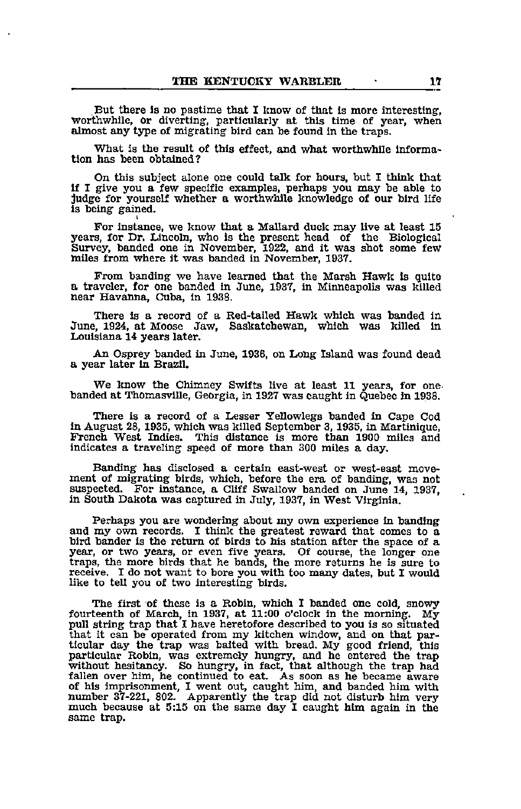But there is no pastime that I know of that is more interesting, worthwhile, or diverting, particularly at this time of year, when almost any type of migrating bird can be found in the traps.

What is the result of this effect, and what worthwhile informa tion has been obtained?

On this subject alone one could talk for hours, but I think that if I give you a few specific examples, perhaps you may be able to judge for yourself whether a worthwhile knowledge of our bird life is being gained.

For instance, we know that a Mallard duck may live at least 15 years, for Dr. Uncoln, who is the present head of the Biological Survey, banded one in November, 1922, and it was shot some few miles from where it was banded in November, 1937.

From banding we have learned that the Marsh Hawk Is quite <sup>a</sup> traveler, for one banded in June, 1937, in Minneapolis was killed near Havanna, Cuba, in 1938.

There is a record of a Red-tailed Hawk which was banded in June, 1924, at Moose Jaw, Saskatchewan, which was killed in Louisiana 14 years later.

An Osprey banded in June, 1936, on Long Island was found dead a year later in Brazil.

We know the Chimney Swifts live at least 11 years, for one. banded at Thomasville, Georgia, in 1927 was caught in Quebec in 1938.

There is a record of a Lesser Yellowlegs banded in Cape Cod in August 28, 1935, which was killed September 3,1935, in Martinique, French West Indies. This distance is more than 1900 miles and indicates a traveling speed of more than 300 miles a day.

Banding has disclosed a certain east-west or west-east move ment of migrating birds, which, before the era of banding, was not suspected. For instance, a Cliff Swallow banded on June 14, 1937, in South Dakota was captured in July, 1937, in West Virginia.

Perhaps you are wondering about my own experience in banding and my own records. I think the greatest reward that comes to a bird bander is the return of birds to his station after the space of a year, or two years, or even five years. Of course, the longer one traps, the more birds that he bands, the more returns he is sure to receive. I do not want to bore you \^th too many dates, but I would like to tell you of two interesting birds.

The first of these is a Robin, which I banded one cold, snowy fourteenth of March, in 1937, at 11:00 o'clock in the morning. My pull string trap that I have heretofore described to you is so situated that it can be operated from my kitchen window, and on that par ticular day the trap was baited with bread. My good friend, this particular Robin, was extremely hungry, and he entered the trap without hesitancy. So hungry, in fact, that although the trap had fallen over him, he continued to eat. As soon as he became aware of his imprisonment, I went out, caught him, and banded him with number 37-221, 802. Apparently the trap did not disturb him very much because at 5:15 on the same day I caught him again in the same trap.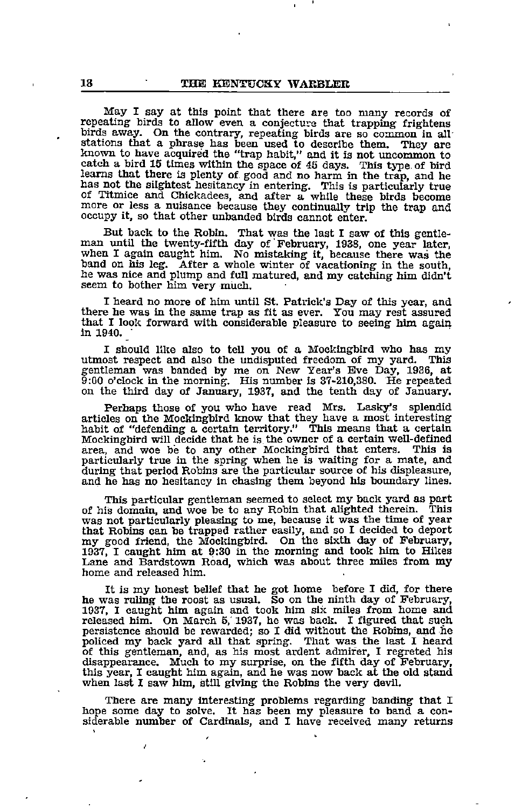May I say at this point that there are too many records of repeating birds to allow even a conjectura that trapping frightens birds away. On the contrary, repeating birds are so common in all' known to have acquired the "trap habit," and it is not uncommon to catch a bird 15 times within the space of 45 days. This type of bird learns that there is plenty of good and no harm in the trap, and he has not the slightest hesitancy in entering. This is particularly true of Titmice and Chickadees, and after a while these birds become more or less a nuisance because they continually trip the trap and occupy it, so that other unhanded birds cannot enter.

But back to the Robin. That was the last I saw of this gentle-man until the twenty-fifth day of February, 1938, one year later, when I again caught him. No mistaking it, because there was the band on his leg. After a whole winter of vacationing in the south, he was nice and plump and full matured, and my catching him didn't seem to bother him very much.

I heard no more of him until St. Patrick's Day of this year, and there he was in the same trap as fit as ever. You may rest assured that <sup>I</sup> look forward with considerable pleasure to seeing bim again in 1940. •

I should like also to tell you of a Mockingbird who has my utmost respect and also the undisputed freedom of my yard. gentleman was banded by me on New Year's Eve Day, 1936, at 9:00 o'clock in the morning. His number is 37-210,380. He repeated on the third day of January, 1937, and the tenth day of January.

Perhaps those of you who have read Mrs. Lasky's splendid articles on the Mockingbird know that they have a most interesting habit of "defending a certain territory." This means that a certain Mockingbird will decide that he is the owner of a certain well-defined area, and woe be to any other Mockingbird that enters. This is particularly true in the spring when he is waiting for a mate, and during that period Robins are the particular source of his displeasure, and he has no hesitancy in chasing them beyond his boundary lines.

This particular gentleman seemed to select my back yard as part of his domain, and woe be to any Robin that alighted therein. This was not particularly pleasing to me, because it was the time of year that Robins can be trapped rather easily, and so I decided to deport my good friend, the Mockingbird. On the sixth day of February, 1937, I caught him at 9:30 in the morning and took him to Hikes Lane and Bardstown Road, which was about three miles from my home and released him.

It is my honest belief that he got home before I did, for there he was ruling the roost as usual. So on the ninth day of February, 1937, I caught him again and took him six miles from home and released him. On March 5,' 1937, he was back. I figured that such persistence should be rewarded; so I did without the Robins, and lie policed my back yard all that spring. That was the last I heard of this gentleman, and, as his most ardent admirer, I regreted his disappearance. Much to my surprise, on the fifth day of February, this year, <sup>I</sup> caught him again, and he was now back at the old stand when last I saw him, still giving the Robins the very devil.

There are many interesting problems regarding banding that I hope some day to solve. It has been my pleasure to band <sup>a</sup> con siderable number of Cardinals, and I have received many returns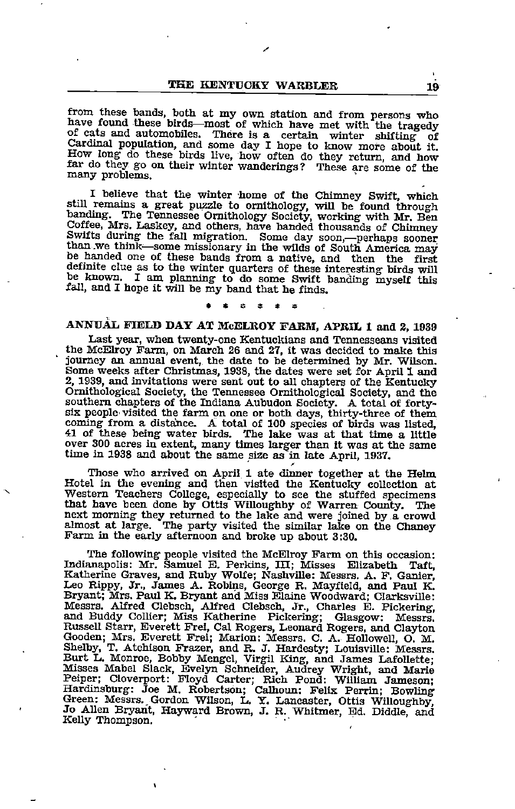from these bands, both at my own station and from persons who have found these birds—most of which have met with the tragedy of cats and automobiles. There is a certain winter shifting of Cardinal population, and some day How long do these birds live, how often do they return, and how far do they go on their winter wanderings ? These are some of the many problems.

I believe that the winter home of the Chimney Swift, which still remains a great puzzle to ornithology, will be found through banding. The Tennessee Ornithology Society, working with Mr. Ben Coffee, Mrs. Laskey, and others, have banded thousands of Chimney<br>Swifts during the fall migration. Some day soon,—perhaps sooner<br>than we think—some missionary in the wilds of South America may<br>be handed one of these bands be handed one of these bands from a native, and then the first definite clue as to the winter quarters of these interesting birds will be known. I am planning to do some Swift banding myself thig fall, and <sup>I</sup> hope it will be my band that he finds.

### ANNVAL FIELD DAY AT McELROY FARM, APRIL I and 2, 1939

Last year, when twenty-one Kentuckians and Tennesseans visited the McElroy Farm, on March 26 and 27, it was decided to make this journey an annual event, the date to be determined by Mr. Wilson. Some weeks after Christmas, 1938, the dates were set for April 1 and 2, 1939, and invitations were sent out to all chapters of the Kentucky Ornithological Society, the Tennessee Ornithological Society, and the southern chapters of the Indiana Aubudon Society. A total of fortysix people'visited the farm on one or both days, thirty-three of them coming from a distance. A total of 100 species of birds was listed, <sup>41</sup> of these being water birds. The lake was at that time <sup>a</sup> little over 300 acres in extent, many times larger than it was at the same time in 1938 and about the same size as in late April, 1937.

Those who arrived on April <sup>1</sup> ate dinner together at the Helm Hotel in the evening and then visited the Kentucky collection at Western Teachers CoUege, especially to see the stuffed specimens that have been done by Ottis Willoughby of Warren County. The next morning they returned to the lake and were joined by a crowd almost at large. The party visited the similar lake on the Chaney Farm in the early afternoon and broke up about 3:30.

The following people visited the McElroy Farm on this occasion: Indianapolis: Mr. Samuel E. Perkins, HI; Misses Elizabeth Taft, Katherine Graves, and Ruby Wolfe; Nashville: Messrs. A. F. Ganier, Leo Rippy, Jr., James A. Robins, George R. Mayfield, and Paul K. Bryant; Mrs. Paul K. Bryant and Miss Elaine Woodward; Clarksville: Messrs. Alfred Clebsch, Alfred Clebsch, Jr., Charles E. Pickering, and Buddy Collier; Miss Katherine Pickering; Glasgow: Messrs. Russell Starr, Everett Frei, Cal Rogers, Leonard Rogers, and Clayton Gooden; Mrs. Everett Frei; Marion: Messrs. C. A. Hollowell, O. M. Shelby, T. Atchison Frazer, and R. J. Hardesty; Louisville: Messrs. Burt L. Monroe, Bobby Mengel, Virgil King, and James Lafollette; Misses Mabel Slack, Evelyn Schneider, Audrey Wright, and Marie Peiper; Cloverport: Floyd Carter; Rich Pond: William Jameson; Hardinsburg: Joe M. Robertson; Calhoun: Felix Perrin; Bowling Green: Messrs., Gordon Wilson, L. Y. Lancaster, Ottis Willoughby, Jo Allen Bryant, Hayward Brown, J. R. Whitmer, Ed. Diddle, and Kelly Thompson.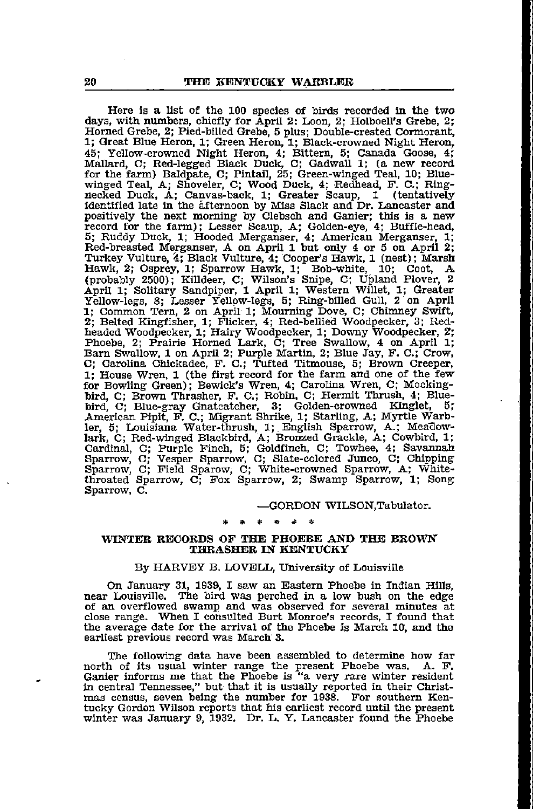Here is a list of the 100 species of birds recorded in the two days, with numbers, chiefly for April 2: Loon, 2: Holboell's Grebe, 2; Horned Grebe, 2; Pied-billed Grebe, 5 plus; Double-crested Cormorant, 1; Great Blue Heron, 1; Green Heron, 1; Black-crowned Night Heron, 45; Yellow-crowned Night Heron, 4; Bittern, 5; Canada Goose, 4; Mallard, C; Red-legged Black Duck, C; Gadwall 1; (a new record for the farm) Baldpate, C; Pintail, 25; Green-winged Teal, 10; Bluewinged Teal, A; Shoveler, C; Wood Duck, 4; Redhead, F. C.; Ringnecked Duck, A; Canvas-back, 1; Greater Scaup, 1 (tentatively identified late in the afternoon by Miss Slack and Dr. Lancaster and positively the next morning by Clebsch and Ganier; this is a new record for the farm); Lesser Scaup, A; Golden-eye, 4; Buffle-head, 5; Ruddy Duck, 1; Hooded Merganser, 4; American Merganser, 1; Red-breasted Merganser, A on April 1 but only 4 or 5 on April 2; Turkey Vulture, Black Vulture, 4; Cooper's Hawk, 1 (nest); Marsh Hawk, 2; Osprey, 1; Sparrow Hawk, 1; Bob-white, 10; Coot, A (probably 2500); Killdeer, C; Wilson's Snipe, C; Upland Plover, 2 April 1; Solitary Sandpiper, 1 April 1; Western Willet, 1; Greater Yellow-legs, 8; Lesser Yellow-legs, 5; Ring-billed Gull, 2 on April 1; Common Tern, 2 on April 1; Mourning Dove, C; Chimney Swift, 2; Belted Kingfisher, 1; P'licker, 4; Red-bellied Woodpecker, 3; Red headed Woodpecker, 1; Hairy Woodpecker, 1; Downy Woodpecker, 2; Phoebe, 2; Prairie Horned Lark, C; Tree Swallow, 4 on April 1; Barn Swallow, 1 on April 2; Purple Martin, 2; Blue Jay, P. C.; Crow, C; Carolina Chickadee, F. C.; Tufted Titmouse, 5; Brown Creeper, 1; House Wren, 1 (the first record for the farm and one of the few for Bowling Green); Bewick's Wren, 4; Carolina Wren, C; Mocking bird, C; Brown Thrasher, F. C.; Robin, C; Hermit Thrush, 4; Blue bird, C; Blue-gray Gnatcatcher, 3; Golden-crowned Kinglet, 5r American Pipit, F. C.; Migrant Shrike, 1; Starling, A; Myrtle Warb ler, 5; Louisiana Water-thrush, 1; English Sparrow, A.; Meadowlark, C; Red-winged Blackbird, A; Bronzed Grackle, A; Cowbird, 1; Cardinal, C; Purple Pinch, 5; Goldfinch, C; Towhee, 4; Savannah Sparrow, C; Vesper Sparrow, C; Slate-colored Junco, C; Chipping Sparrow, C; Field Sparow, C; White-crowned Sparrow, A; V^itethroated Sparrow, C; Fox Sparrow, 2; Swamp Sparrow, 1; Song Sparrow, C.

### —GORDON WILSON,Tabulator.

### WINTER RECORDS OF THE PHOEBE AND THE BROWN THRASHER IN KENTUCKY

### By HARVEY B. LOVELL, University of Louisville

On January 31, 1939, I saw an Eastern Phoebe in Indian Hills, near Louisville. The bird was perched in a low bush on the edge of an overflowed swamp and was observed for several minutes at close range. When I consulted Burt Monroe's records, I found that the average date for the arrival of the Phoebe is March 10, and the earliest previous record was March 3.

The following data have been assembled to determine how far north of its usual winter range the present Phoebe was. A. P. Ganier informs me that the Phoebe is "a very rare winter resident in central Tennessee," but that it is usually reported in their Christmas census, seven being the number for 1938. For southern Ken tucky Gordon Wilson reports that his earliest record until the present winter was January 9, 1932. Dr. L. Y. Lancaster found the Phoebe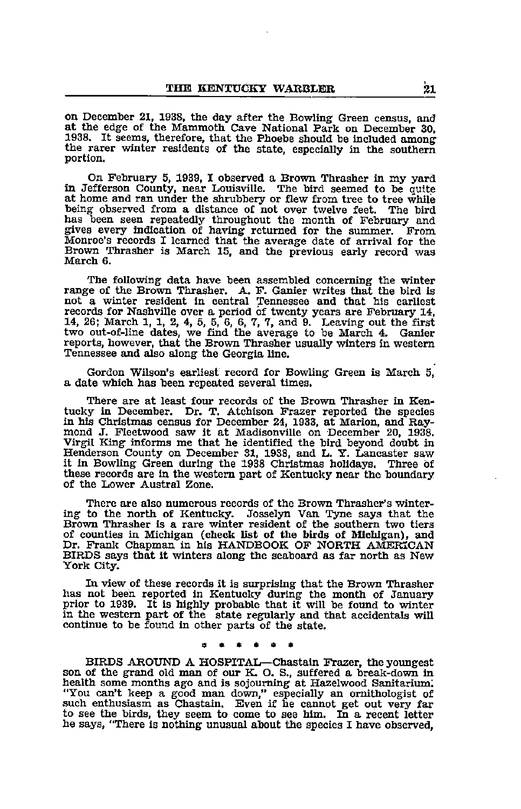on December 21, 1938, the day after the Bowling Green census, at the edge of the Mammoth Cave National Park on December 30, 1938. It seems, therefore, that the Phoebe should be included among the rarer winter residents of the state, especially in the southern portion.

On February 5, 1939, I observed a Brown Thrasher in my yard in Jefferson County, near Louisville. The bird seemed to be quite at home and ran under the shrubbery or flew from tree to tree while being observed from a distance of not over twelve feet. The bird has been seen repeatedly throughout the month of February and gives every indication of having returned for the summer. Prom Monroe's records I learned that the average date of arrival for the Brown Thrasher is March 15, and the previous early record was March 6.

The following data have been assembled concerning the winter range of the Brown Thrasher. A. F. Ganier writes that the bird is not a winter resident in central Tennessee and that his earliest records for Nashville over a period of twenty years are Pebruary 14, 14, 26; March 1, 1, 2, 4, 5, 5, 6, 6, 7, 7, and 9. Leaving out the first two out-of-line dates, we find the average to be March 4. Ganier reports, however, that the Brown Thrasher usually winters in western Tennessee and also along the Georgia line.

Gordon Wilson's earliest record for Bowling Green is March 5, a date which has been repeated several times.

There are at least four records of the Brown Thrasher in Ken tucky in December. Dr. T. Atchison Prazer reported the species in his Christmas census for December 24, 1933, at Marion, and Ray mond J. Fleetwood saw it at Madisonville on December 20, 1938. Virgil King informs me that he identified the bird beyond doubt in Henderson County on December 31, 1938, and L. Y. Lancaster saw it in Bowling Green during the 1938 Christmas holidays. Three of these records are in the western part of Kentucky near the boimdary of the Lower Austral Zone.

There are also numerous records of the Brown Thrasher's winter ing to the north of Kentucky. Josselyn Van Tyne says that the Brown Thrasher is <sup>a</sup> rare winter resident of the southern two tiers of counties in Michigan (check Ust of the birds of Michigan), and Dr. Frank Chapman in his HANDBOOK OP NORTH AMERICAN BIRDS says that it winters along the seaboard as far north as New York City.

In view of these records it is surprising that the Brown Thrasher has not been reported in Kentucky during the month of January prior to 1939. It is highly probable that it will be found to winter in the western part of the state regularly and that accidentals will continue to be found in other parts of the state.

BIRDS AROUND <sup>A</sup> HOSPITAL—Chastain Frazer, the yoimgest son of the grand old man of our K. O. S., suffered <sup>a</sup> break-down in health some months ago and is sojourning at Hazelwood Sanitarium; "You can't keep a good man down," especially an ornithologist of such enthusiasm as Chastain. Even if he cannot get out very far to see the birds, they seem to come to see him. In a recent letter he says, "There is nothing unusual about the species I have observed,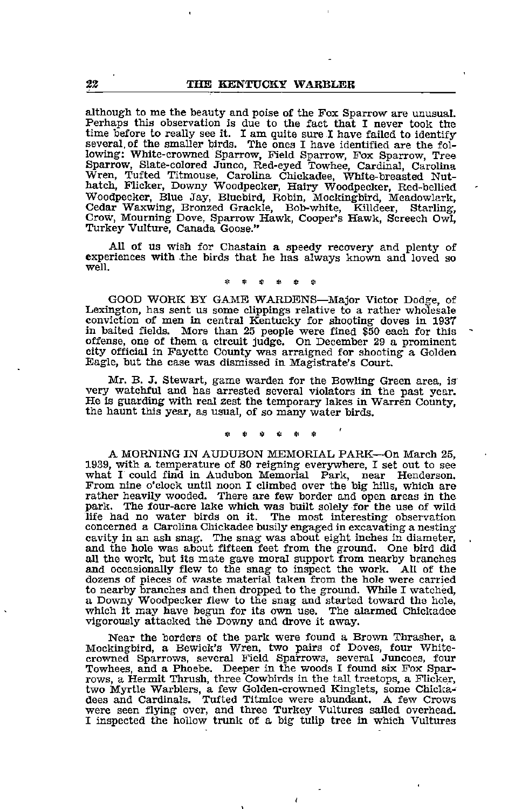although to me the beauty and poise of the Fox Sparrow are unusual. Perhaps this observation is due to the fact that I never took the time before to really see it. I am quite sure I have failed to identify several, of the smaller birds. The ones I have identified are the following; White-crowned Sparrow, Field Sparrow, Fox Sparrow, Tree Sparrow, Slate-colored Junco, Red-eyed Towhee, Cardinal, Carolina Wren, Tufted Titmouse, Carolina Chickadee, White-breasted Nut hatch, Flicker, Downy Woodpecker, Hairy Woodpecker, Red-bellied Woodpecker, Blue Jay, Bluebird, Robin, Mockingbird, Meadowlark, Cedar Waxwing, Bronzed Crackle, Bob-white, Killdeer, Starling, Crow, Mourning Dove, Sparrow Hawk, Cooper's Hawk, Screech Owl, Turkey Vulture, Canada Goose."

All of us wish for Chastain a speedy recovery and plenty of experiences with ,the birds that he has always known and loved so well.

GOOD WORK BY GAME WARDENS—Major Victor Dodge, of Lexington, has sent us some clippings relative to a rather wholesale conviction of men in central Kentucky for shooting doves in 1937 in baited fields. More than 25 people were fined §50 each for this offense, one of them a circuit judge. On December 29 a prominent city official in Payette County was arraigned for shooting a Golden Eagle, but the case was dismissed in Magistrate's Court.

Mr. B. J. Stewart, game warden for the Bowling Green area, is very watchful and has arrested several violators in the past year. He is guarding with real zest the temporary lakes in Warren County, the haunt this year, as usual, of so many water birds.

A MORNING IN AUDUBON MEMORIAL PARK—On March 25, 1939, with a temperature of 80 reigning everywhere, I set out to see what I could find in Audubon Memorial Park, near Henderson. From nine o'clock until noon I climbed over the big hills, which are rather heavily wooded. There are few border and open areas in the park. The four-acre lake which was built solely for the use of wild life had no water birds on it. The most interesting observation concerned a Carolina Chickadee busily engaged in excavating a nesting cavity in an ash snag. The snag was about eight inches in diameter, and the hole was about fifteen feet from the ground. One bird did all the work, but its mate gave moral support from nearby branches and occasionally flew to the snag to inspect the work. All of the dozens of pieces of waste material taken from the hole were carried to nearby branches and then dropped to the ground. While I watched, a Downy Woodpecker flew to the snag and started toward the hole, which it may have begun for its own use. The alarmed Chickadee vigorously attacked the Downy and drove it away.

Near the borders of the park were found a Brown Thrasher, a Mockingbird, a Bewick's Wren, two pairs of Doves, four Whitecrowned Sparrows, several Field Sparrows, several Juncoes, four Towhees, and a Phoebe. Deeper in the woods I found six Fox Spar rows, a Hermit Thrush, three Cowbirds in the tall trsetops, a Flicker, two Myrtle Warblers, a few Golden-crowned Kinglets, some Chicka dees and Cardinals. Tufted Titmice were abundant. <sup>A</sup> few Crows were seen flying over, and three Turkey Vultures sailed overhead. I inspected the hollow trunk of a big tulip tree in which Vultures

 $\overline{1}$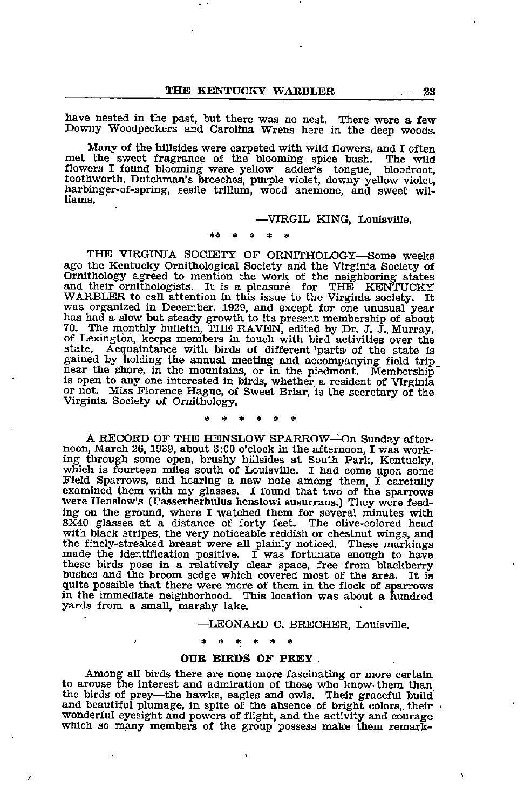have nested in the past, but there was no nest. There were a few Downy Woodpeckers and Carolina Wrens here in the deep woods.

Many of the hillsides were carpeted with wild flowers, and I often met the sweet fragrance of the blooming spice bush. The wild flowers I found blooming were yellow adder's tongue, bloodroot, flowers I found blooming were yellow adder's tongue, toothworth, Dutchman's breeches, purple violet, downy yellow violet, harbinger-of-spring, sesile trillum, wood anemone, and sweet Wil liams.

### —VIRGIL KING, Louisville.

THE VIRGINIA SOCIETY OF ORNITHOLOGY—Some weeks ago the Kentucky Ornithological Society and the Virginia Society of Ornithology agreed to mention the work of the neighboring states<br>and their ornithologists. It is a pleasure for THE KENTUCKY<br>WARBLER to call attention in this issue to the Virginia society. It<br>was organized in December, 19 has had a slow but steady growth to its present membership of about 70. The monthly bulletin, THE RAVEN, edited by Dr. J. J., Murray, of Lexington, keeps members in touch with bird activities over the state. Acquaintance with birds of different parts of the state is gained by holding the annual meeting and accompanying field trip near the shore, in the mountains, or in the piedmont. Membership is open to any one interested in birds, whether <sup>a</sup> resident of Virginia or not. Miss Florence Hague, of Sweet Briar, is the secretary of the Virginia Society of Ornithology.

### $\approx$   $\approx$  $\sim$

A RECORD OF THE HENSLOW SPARROW—On Sunday after noon, March 26,1939, about 3:00 o'clock in the afternoon, I was work ing through some open, brushy hillsides at South Park, Kentucky, which is fourteen miles south of Louisville. <sup>I</sup> had come upon some Field Sparrows, and hearing <sup>a</sup> new note among them, <sup>I</sup> carefully examined them with my glasses. <sup>I</sup> found that two of the sparrows were Henslow's (Passerherbulus henslowi susurrans.) They were feed ing on the ground, where I watched them for several minutes with SX40 glasses at a distance of forty feet. The olive-colored head with black stripes, the very noticeable reddish or chestnut wings, and the finely-streaked b made the identification positive. I was fortunate enough to have these birds pose in a relatively clear space, free from blackberry bushes and the broom sedge which covered most of the area. It is quite possible that there were more of them in the flock of sparrows in the immediate neighborhood. This location was about a hundred yards from a small, marshy lake.

### —LEONARD C. BRECHER, Louisville.

### \* \* \* \*

ŗ

### OUR BIRDS OF PREY ,

Among all birds there are none more fascinating or more certain to arouse the interest and admiration of those who know them than the birds of prey—the hawks, eagles and owls. Their graceful build and beautiful plumage, in spite of the absence of bright colors,, their wonderful eyesight and powers of flight, and the activity and courage which so many members of the group possess make them remark-